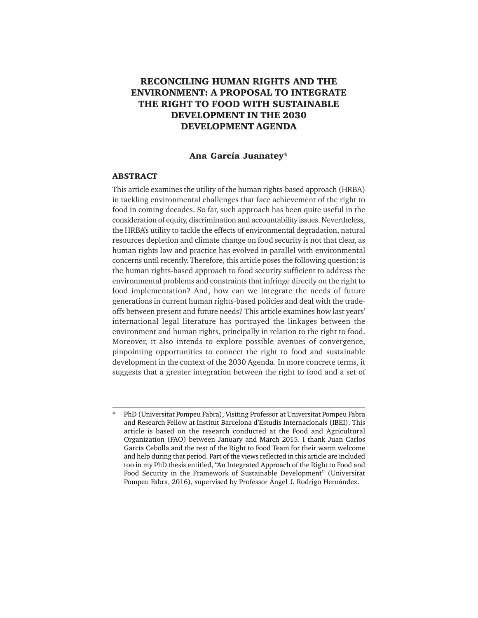# **RECONCILING HUMAN RIGHTS AND THE ENVIRONMENT: A PROPOSAL TO INTEGRATE THE RIGHT TO FOOD WITH SUSTAINABLE DEVELOPMENT IN THE 2030 DEVELOPMENT AGENDA**

#### **Ana García Juanatey\***

#### **ABSTRACT**

This article examines the utility of the human rights-based approach (HRBA) in tackling environmental challenges that face achievement of the right to food in coming decades. So far, such approach has been quite useful in the consideration of equity, discrimination and accountability issues. Nevertheless, the HRBA's utility to tackle the effects of environmental degradation, natural resources depletion and climate change on food security is not that clear, as human rights law and practice has evolved in parallel with environmental concerns until recently. Therefore, this article poses the following question: is the human rights-based approach to food security sufficient to address the environmental problems and constraints that infringe directly on the right to food implementation? And, how can we integrate the needs of future generations in current human rights-based policies and deal with the tradeoffs between present and future needs? This article examines how last years' international legal literature has portrayed the linkages between the environment and human rights, principally in relation to the right to food. Moreover, it also intends to explore possible avenues of convergence, pinpointing opportunities to connect the right to food and sustainable development in the context of the 2030 Agenda. In more concrete terms, it suggests that a greater integration between the right to food and a set of

<sup>\*</sup> PhD (Universitat Pompeu Fabra), Visiting Professor at Universitat Pompeu Fabra and Research Fellow at Institut Barcelona d'Estudis Internacionals (IBEI). This article is based on the research conducted at the Food and Agricultural Organization (FAO) between January and March 2015. I thank Juan Carlos García Cebolla and the rest of the Right to Food Team for their warm welcome and help during that period. Part of the views reflected in this article are included too in my PhD thesis entitled, "An Integrated Approach of the Right to Food and Food Security in the Framework of Sustainable Development" (Universitat Pompeu Fabra, 2016), supervised by Professor Ángel J. Rodrigo Hernández.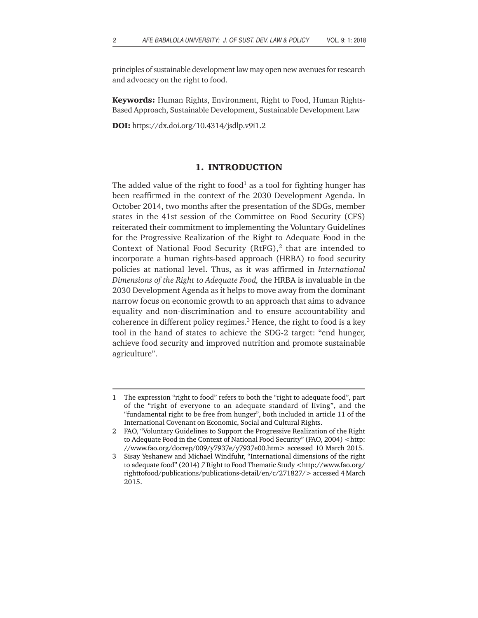principles of sustainable development law may open new avenues for research and advocacy on the right to food.

**Keywords:** Human Rights, Environment, Right to Food, Human Rights-Based Approach, Sustainable Development, Sustainable Development Law

**DOI:** https://dx.doi.org/10.4314/jsdlp.v9i1.2

# **1. INTRODUCTION**

The added value of the right to food<sup>1</sup> as a tool for fighting hunger has been reaffirmed in the context of the 2030 Development Agenda. In October 2014, two months after the presentation of the SDGs, member states in the 41st session of the Committee on Food Security (CFS) reiterated their commitment to implementing the Voluntary Guidelines for the Progressive Realization of the Right to Adequate Food in the Context of National Food Security (RtFG), $<sup>2</sup>$  that are intended to</sup> incorporate a human rights-based approach (HRBA) to food security policies at national level. Thus, as it was affirmed in *International Dimensions of the Right to Adequate Food,* the HRBA is invaluable in the 2030 Development Agenda as it helps to move away from the dominant narrow focus on economic growth to an approach that aims to advance equality and non-discrimination and to ensure accountability and coherence in different policy regimes.<sup>3</sup> Hence, the right to food is a key tool in the hand of states to achieve the SDG-2 target: "end hunger, achieve food security and improved nutrition and promote sustainable agriculture".

<sup>1</sup> The expression "right to food" refers to both the "right to adequate food", part of the "right of everyone to an adequate standard of living", and the "fundamental right to be free from hunger", both included in article 11 of the International Covenant on Economic, Social and Cultural Rights.

<sup>2</sup> FAO, "Voluntary Guidelines to Support the Progressive Realization of the Right to Adequate Food in the Context of National Food Security" (FAO, 2004) <http: //www.fao.org/docrep/009/y7937e/y7937e00.htm> accessed 10 March 2015.

<sup>3</sup> Sisay Yeshanew and Michael Windfuhr, "International dimensions of the right to adequate food" (2014) *7* Right to Food Thematic Study <http://www.fao.org/ righttofood/publications/publications-detail/en/c/271827/> accessed 4 March 2015.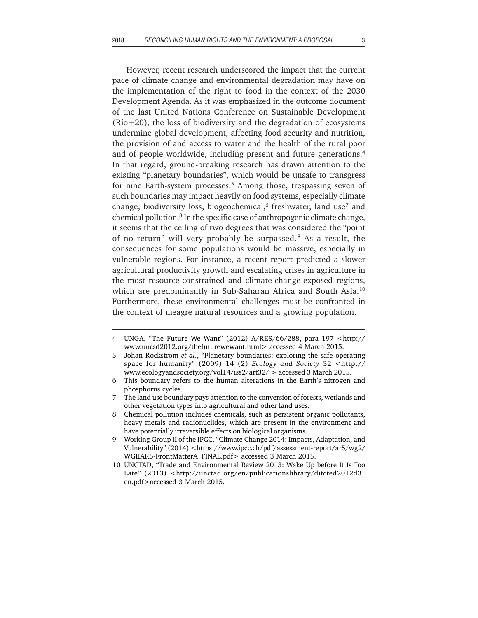However, recent research underscored the impact that the current pace of climate change and environmental degradation may have on the implementation of the right to food in the context of the 2030 Development Agenda. As it was emphasized in the outcome document of the last United Nations Conference on Sustainable Development (Rio+20), the loss of biodiversity and the degradation of ecosystems undermine global development, affecting food security and nutrition, the provision of and access to water and the health of the rural poor and of people worldwide, including present and future generations.4 In that regard, ground-breaking research has drawn attention to the existing "planetary boundaries", which would be unsafe to transgress for nine Earth-system processes.<sup>5</sup> Among those, trespassing seven of such boundaries may impact heavily on food systems, especially climate change, biodiversity loss, biogeochemical, $6$  freshwater, land use<sup>7</sup> and chemical pollution.<sup>8</sup> In the specific case of anthropogenic climate change, it seems that the ceiling of two degrees that was considered the "point of no return" will very probably be surpassed.<sup>9</sup> As a result, the consequences for some populations would be massive, especially in vulnerable regions. For instance, a recent report predicted a slower agricultural productivity growth and escalating crises in agriculture in the most resource-constrained and climate-change-exposed regions, which are predominantly in Sub-Saharan Africa and South Asia.<sup>10</sup> Furthermore, these environmental challenges must be confronted in the context of meagre natural resources and a growing population.

<sup>4</sup> UNGA, "The Future We Want" (2012) A/RES/66/288, para 197 <http:// www.uncsd2012.org/thefuturewewant.html> accessed 4 March 2015.

<sup>5</sup> Johan Rockström *et al*., "Planetary boundaries: exploring the safe operating space for humanity" (2009) 14 (2) *Ecology and Society* 32 <http:// www.ecologyandsociety.org/vol14/iss2/art32/ > accessed 3 March 2015.

<sup>6</sup> This boundary refers to the human alterations in the Earth's nitrogen and phosphorus cycles.

<sup>7</sup> The land use boundary pays attention to the conversion of forests, wetlands and other vegetation types into agricultural and other land uses.

<sup>8</sup> Chemical pollution includes chemicals, such as persistent organic pollutants, heavy metals and radionuclides, which are present in the environment and have potentially irreversible effects on biological organisms.

<sup>9</sup> Working Group II of the IPCC, "Climate Change 2014: Impacts, Adaptation, and Vulnerability" (2014) <https://www.ipcc.ch/pdf/assessment-report/ar5/wg2/ WGIIAR5-FrontMatterA\_FINAL.pdf> accessed 3 March 2015.

<sup>10</sup> UNCTAD, "Trade and Environmental Review 2013: Wake Up before It Is Too Late" (2013) <http://unctad.org/en/publicationslibrary/ditcted2012d3 en.pdf>accessed 3 March 2015.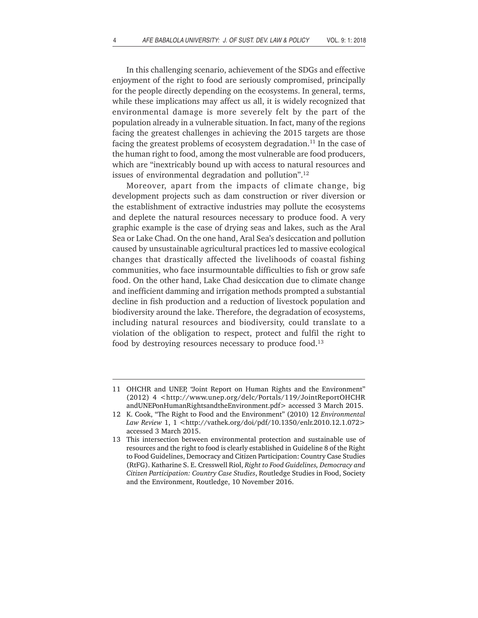In this challenging scenario, achievement of the SDGs and effective enjoyment of the right to food are seriously compromised, principally for the people directly depending on the ecosystems. In general, terms, while these implications may affect us all, it is widely recognized that environmental damage is more severely felt by the part of the population already in a vulnerable situation. In fact, many of the regions facing the greatest challenges in achieving the 2015 targets are those facing the greatest problems of ecosystem degradation.<sup>11</sup> In the case of the human right to food, among the most vulnerable are food producers, which are "inextricably bound up with access to natural resources and issues of environmental degradation and pollution".12

Moreover, apart from the impacts of climate change, big development projects such as dam construction or river diversion or the establishment of extractive industries may pollute the ecosystems and deplete the natural resources necessary to produce food. A very graphic example is the case of drying seas and lakes, such as the Aral Sea or Lake Chad. On the one hand, Aral Sea's desiccation and pollution caused by unsustainable agricultural practices led to massive ecological changes that drastically affected the livelihoods of coastal fishing communities, who face insurmountable difficulties to fish or grow safe food. On the other hand, Lake Chad desiccation due to climate change and inefficient damming and irrigation methods prompted a substantial decline in fish production and a reduction of livestock population and biodiversity around the lake. Therefore, the degradation of ecosystems, including natural resources and biodiversity, could translate to a violation of the obligation to respect, protect and fulfil the right to food by destroying resources necessary to produce food.<sup>13</sup>

<sup>11</sup> OHCHR and UNEP, "Joint Report on Human Rights and the Environment" (2012) 4 <http://www.unep.org/delc/Portals/119/JointReportOHCHR andUNEPonHumanRightsandtheEnvironment.pdf> accessed 3 March 2015.

<sup>12</sup> K. Cook, "The Right to Food and the Environment" (2010) 12 *Environmental Law Review* 1, 1 <http://vathek.org/doi/pdf/10.1350/enlr.2010.12.1.072> accessed 3 March 2015.

<sup>13</sup> This intersection between environmental protection and sustainable use of resources and the right to food is clearly established in Guideline 8 of the Right to Food Guidelines, Democracy and Citizen Participation: Country Case Studies (RtFG). Katharine S. E. Cresswell Riol, *Right to Food Guidelines, Democracy and Citizen Participation: Country Case Studies*, Routledge Studies in Food, Society and the Environment, Routledge, 10 November 2016.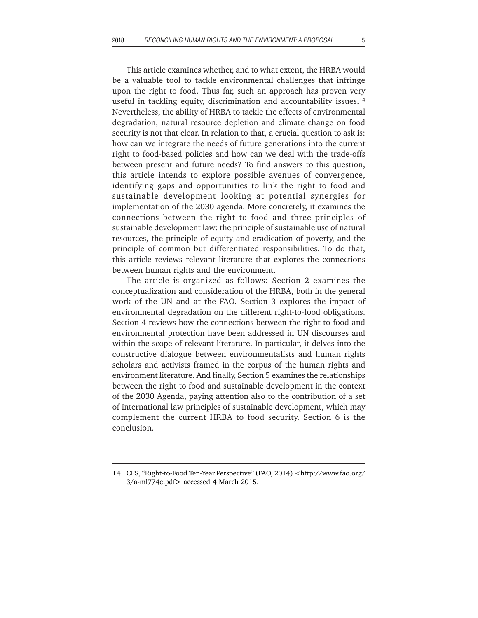This article examines whether, and to what extent, the HRBA would be a valuable tool to tackle environmental challenges that infringe upon the right to food. Thus far, such an approach has proven very useful in tackling equity, discrimination and accountability issues. $14$ Nevertheless, the ability of HRBA to tackle the effects of environmental degradation, natural resource depletion and climate change on food security is not that clear. In relation to that, a crucial question to ask is: how can we integrate the needs of future generations into the current right to food-based policies and how can we deal with the trade-offs between present and future needs? To find answers to this question, this article intends to explore possible avenues of convergence, identifying gaps and opportunities to link the right to food and sustainable development looking at potential synergies for implementation of the 2030 agenda. More concretely, it examines the connections between the right to food and three principles of sustainable development law: the principle of sustainable use of natural resources, the principle of equity and eradication of poverty, and the principle of common but differentiated responsibilities. To do that, this article reviews relevant literature that explores the connections between human rights and the environment.

The article is organized as follows: Section 2 examines the conceptualization and consideration of the HRBA, both in the general work of the UN and at the FAO. Section 3 explores the impact of environmental degradation on the different right-to-food obligations. Section 4 reviews how the connections between the right to food and environmental protection have been addressed in UN discourses and within the scope of relevant literature. In particular, it delves into the constructive dialogue between environmentalists and human rights scholars and activists framed in the corpus of the human rights and environment literature. And finally, Section 5 examines the relationships between the right to food and sustainable development in the context of the 2030 Agenda, paying attention also to the contribution of a set of international law principles of sustainable development, which may complement the current HRBA to food security. Section 6 is the conclusion.

<sup>14</sup> CFS, "Right-to-Food Ten-Year Perspective" (FAO, 2014) <http://www.fao.org/ 3/a-ml774e.pdf> accessed 4 March 2015.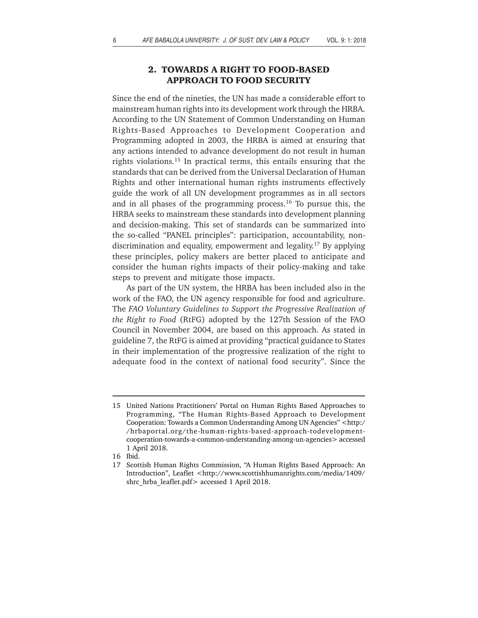# **2. TOWARDS A RIGHT TO FOOD-BASED APPROACH TO FOOD SECURITY**

Since the end of the nineties, the UN has made a considerable effort to mainstream human rights into its development work through the HRBA. According to the UN Statement of Common Understanding on Human Rights-Based Approaches to Development Cooperation and Programming adopted in 2003, the HRBA is aimed at ensuring that any actions intended to advance development do not result in human rights violations.15 In practical terms, this entails ensuring that the standards that can be derived from the Universal Declaration of Human Rights and other international human rights instruments effectively guide the work of all UN development programmes as in all sectors and in all phases of the programming process.<sup>16</sup> To pursue this, the HRBA seeks to mainstream these standards into development planning and decision-making. This set of standards can be summarized into the so-called "PANEL principles": participation, accountability, nondiscrimination and equality, empowerment and legality.17 By applying these principles, policy makers are better placed to anticipate and consider the human rights impacts of their policy-making and take steps to prevent and mitigate those impacts.

As part of the UN system, the HRBA has been included also in the work of the FAO, the UN agency responsible for food and agriculture. The *FAO Voluntary Guidelines to Support the Progressive Realization of the Right to Food* (RtFG) adopted by the 127th Session of the FAO Council in November 2004, are based on this approach. As stated in guideline 7, the RtFG is aimed at providing "practical guidance to States in their implementation of the progressive realization of the right to adequate food in the context of national food security". Since the

<sup>15</sup> United Nations Practitioners' Portal on Human Rights Based Approaches to Programming, "The Human Rights-Based Approach to Development Cooperation: Towards a Common Understanding Among UN Agencies" <http:/ /hrbaportal.org/the-human-rights-based-approach-todevelopmentcooperation-towards-a-common-understanding-among-un-agencies> accessed 1 April 2018.

<sup>16</sup> Ibid.

<sup>17</sup> Scottish Human Rights Commission, "A Human Rights Based Approach: An Introduction", Leaflet <http://www.scottishhumanrights.com/media/1409/ shrc\_hrba\_leaflet.pdf> accessed 1 April 2018.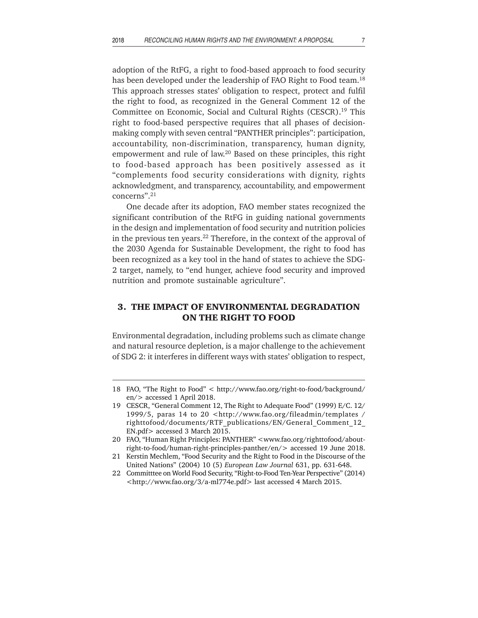adoption of the RtFG, a right to food-based approach to food security has been developed under the leadership of FAO Right to Food team.<sup>18</sup> This approach stresses states' obligation to respect, protect and fulfil the right to food, as recognized in the General Comment 12 of the Committee on Economic, Social and Cultural Rights (CESCR).<sup>19</sup> This right to food-based perspective requires that all phases of decisionmaking comply with seven central "PANTHER principles": participation, accountability, non-discrimination, transparency, human dignity, empowerment and rule of law.20 Based on these principles, this right to food-based approach has been positively assessed as it "complements food security considerations with dignity, rights acknowledgment, and transparency, accountability, and empowerment concerns".21

One decade after its adoption, FAO member states recognized the significant contribution of the RtFG in guiding national governments in the design and implementation of food security and nutrition policies in the previous ten years.22 Therefore, in the context of the approval of the 2030 Agenda for Sustainable Development, the right to food has been recognized as a key tool in the hand of states to achieve the SDG-2 target, namely, to "end hunger, achieve food security and improved nutrition and promote sustainable agriculture".

### **3. THE IMPACT OF ENVIRONMENTAL DEGRADATION ON THE RIGHT TO FOOD**

Environmental degradation, including problems such as climate change and natural resource depletion, is a major challenge to the achievement of SDG 2: it interferes in different ways with states' obligation to respect,

<sup>18</sup> FAO, "The Right to Food" < http://www.fao.org/right-to-food/background/ en/> accessed 1 April 2018.

<sup>19</sup> CESCR, "General Comment 12, The Right to Adequate Food" (1999) E/C. 12/ 1999/5, paras 14 to 20 <http://www.fao.org/fileadmin/templates / righttofood/documents/RTF\_publications/EN/General\_Comment\_12\_ EN.pdf> accessed 3 March 2015.

<sup>20</sup> FAO, "Human Right Principles: PANTHER" <www.fao.org/righttofood/aboutright-to-food/human-right-principles-panther/en/> accessed 19 June 2018.

<sup>21</sup> Kerstin Mechlem, "Food Security and the Right to Food in the Discourse of the United Nations" (2004) 10 (5) *European Law Journal* 631, pp. 631-648.

<sup>22</sup> Committtee on World Food Security, "Right-to-Food Ten-Year Perspective" (2014) <http://www.fao.org/3/a-ml774e.pdf> last accessed 4 March 2015.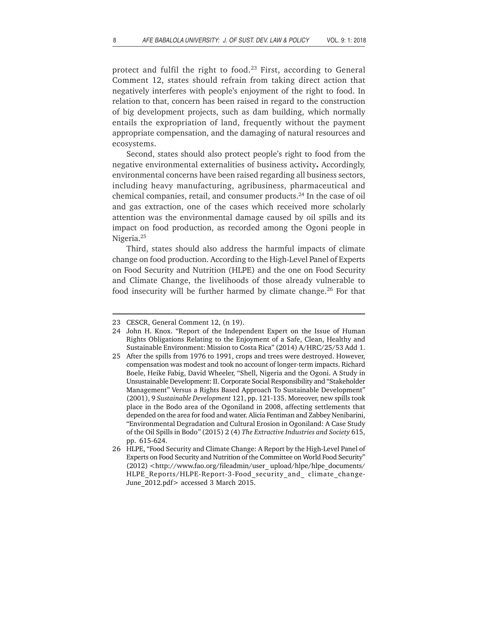protect and fulfil the right to food. $23$  First, according to General Comment 12, states should refrain from taking direct action that negatively interferes with people's enjoyment of the right to food. In relation to that, concern has been raised in regard to the construction of big development projects, such as dam building, which normally entails the expropriation of land, frequently without the payment appropriate compensation, and the damaging of natural resources and ecosystems.

Second, states should also protect people's right to food from the negative environmental externalities of business activity**.** Accordingly, environmental concerns have been raised regarding all business sectors, including heavy manufacturing, agribusiness, pharmaceutical and chemical companies, retail, and consumer products.24 In the case of oil and gas extraction, one of the cases which received more scholarly attention was the environmental damage caused by oil spills and its impact on food production, as recorded among the Ogoni people in Nigeria.25

Third, states should also address the harmful impacts of climate change on food production. According to the High-Level Panel of Experts on Food Security and Nutrition (HLPE) and the one on Food Security and Climate Change, the livelihoods of those already vulnerable to food insecurity will be further harmed by climate change.<sup>26</sup> For that

<sup>23</sup> CESCR, General Comment 12, (n 19).

<sup>24</sup> John H. Knox. "Report of the Independent Expert on the Issue of Human Rights Obligations Relating to the Enjoyment of a Safe, Clean, Healthy and Sustainable Environment: Mission to Costa Rica" (2014) A/HRC/25/53 Add 1.

<sup>25</sup> After the spills from 1976 to 1991, crops and trees were destroyed. However, compensation was modest and took no account of longer-term impacts. Richard Boele, Heike Fabig, David Wheeler, "Shell, Nigeria and the Ogoni. A Study in Unsustainable Development: II. Corporate Social Responsibility and "Stakeholder Management" Versus a Rights Based Approach To Sustainable Development" (2001), 9 *Sustainable Development* 121, pp. 121-135. Moreover, new spills took place in the Bodo area of the Ogoniland in 2008, affecting settlements that depended on the area for food and water. Alicia Fentiman and Zabbey Nenibarini, "Environmental Degradation and Cultural Erosion in Ogoniland: A Case Study of the Oil Spills in Bodo*"* (2015) 2 (4) *The Extractive Industries and Society* 615, pp. 615-624.

<sup>26</sup> HLPE, "Food Security and Climate Change: A Report by the High-Level Panel of Experts on Food Security and Nutrition of the Committee on World Food Security" (2012) <http://www.fao.org/fileadmin/user\_upload/hlpe/hlpe\_documents/ HLPE\_Reports/HLPE-Report-3-Food\_security\_and\_ climate\_change-June 2012.pdf> accessed 3 March 2015.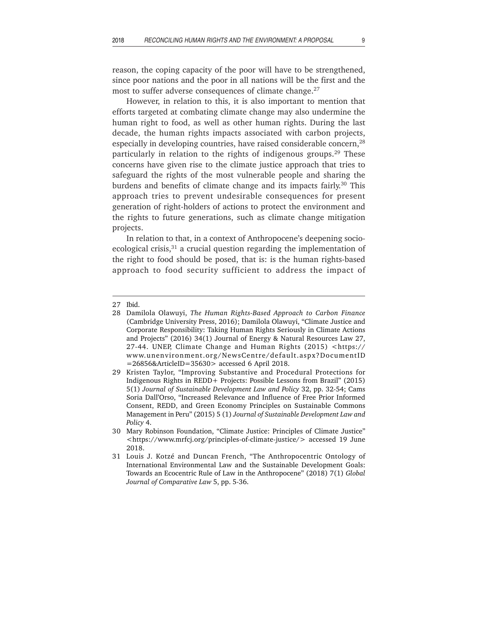reason, the coping capacity of the poor will have to be strengthened, since poor nations and the poor in all nations will be the first and the most to suffer adverse consequences of climate change.<sup>27</sup>

However, in relation to this, it is also important to mention that efforts targeted at combating climate change may also undermine the human right to food, as well as other human rights. During the last decade, the human rights impacts associated with carbon projects, especially in developing countries, have raised considerable concern,<sup>28</sup> particularly in relation to the rights of indigenous groups.<sup>29</sup> These concerns have given rise to the climate justice approach that tries to safeguard the rights of the most vulnerable people and sharing the burdens and benefits of climate change and its impacts fairly.<sup>30</sup> This approach tries to prevent undesirable consequences for present generation of right-holders of actions to protect the environment and the rights to future generations, such as climate change mitigation projects.

In relation to that, in a context of Anthropocene's deepening socioecological crisis, $31$  a crucial question regarding the implementation of the right to food should be posed, that is: is the human rights-based approach to food security sufficient to address the impact of

<sup>27</sup> Ibid.

<sup>28</sup> Damilola Olawuyi, *The Human Rights-Based Approach to Carbon Finance* (Cambridge University Press, 2016); Damilola Olawuyi, "Climate Justice and Corporate Responsibility: Taking Human Rights Seriously in Climate Actions and Projects" (2016) 34(1) Journal of Energy & Natural Resources Law 27, 27-44. UNEP, Climate Change and Human Rights (2015) <https:// www.unenvironment.org/NewsCentre/default.aspx?DocumentID =26856&ArticleID=35630> accessed 6 April 2018.

<sup>29</sup> Kristen Taylor, "Improving Substantive and Procedural Protections for Indigenous Rights in REDD+ Projects: Possible Lessons from Brazil" (2015) 5(1) *Journal of Sustainable Development Law and Policy* 32, pp. 32-54; Cams Soria Dall'Orso, "Increased Relevance and Influence of Free Prior Informed Consent, REDD, and Green Economy Principles on Sustainable Commons Management in Peru" (2015) 5 (1) *Journal of Sustainable Development Law and Policy* 4.

<sup>30</sup> Mary Robinson Foundation, "Climate Justice: Principles of Climate Justice" <https://www.mrfcj.org/principles-of-climate-justice/> accessed 19 June 2018.

<sup>31</sup> Louis J. Kotzé and Duncan French, "The Anthropocentric Ontology of International Environmental Law and the Sustainable Development Goals: Towards an Ecocentric Rule of Law in the Anthropocene" (2018) 7(1) *Global Journal of Comparative Law* 5, pp. 5-36.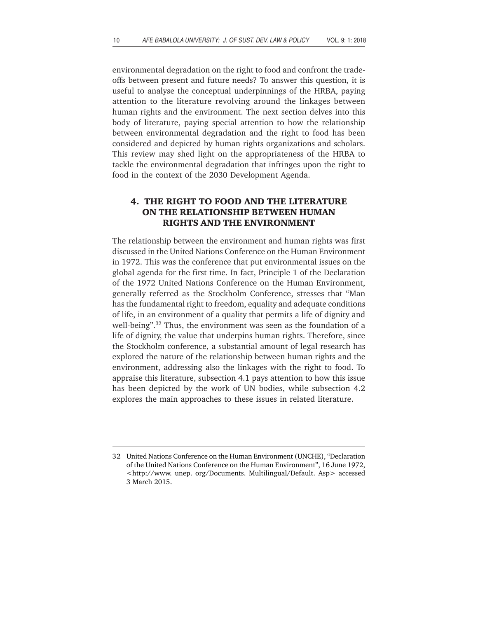environmental degradation on the right to food and confront the tradeoffs between present and future needs? To answer this question, it is useful to analyse the conceptual underpinnings of the HRBA, paying attention to the literature revolving around the linkages between human rights and the environment. The next section delves into this body of literature, paying special attention to how the relationship between environmental degradation and the right to food has been considered and depicted by human rights organizations and scholars. This review may shed light on the appropriateness of the HRBA to tackle the environmental degradation that infringes upon the right to food in the context of the 2030 Development Agenda.

# **4. THE RIGHT TO FOOD AND THE LITERATURE ON THE RELATIONSHIP BETWEEN HUMAN RIGHTS AND THE ENVIRONMENT**

The relationship between the environment and human rights was first discussed in the United Nations Conference on the Human Environment in 1972. This was the conference that put environmental issues on the global agenda for the first time. In fact, Principle 1 of the Declaration of the 1972 United Nations Conference on the Human Environment, generally referred as the Stockholm Conference, stresses that "Man has the fundamental right to freedom, equality and adequate conditions of life, in an environment of a quality that permits a life of dignity and well-being".<sup>32</sup> Thus, the environment was seen as the foundation of a life of dignity, the value that underpins human rights. Therefore, since the Stockholm conference, a substantial amount of legal research has explored the nature of the relationship between human rights and the environment, addressing also the linkages with the right to food. To appraise this literature, subsection 4.1 pays attention to how this issue has been depicted by the work of UN bodies, while subsection 4.2 explores the main approaches to these issues in related literature.

<sup>32</sup> United Nations Conference on the Human Environment (UNCHE), "Declaration of the United Nations Conference on the Human Environment", 16 June 1972, <http://www. unep. org/Documents. Multilingual/Default. Asp> accessed 3 March 2015.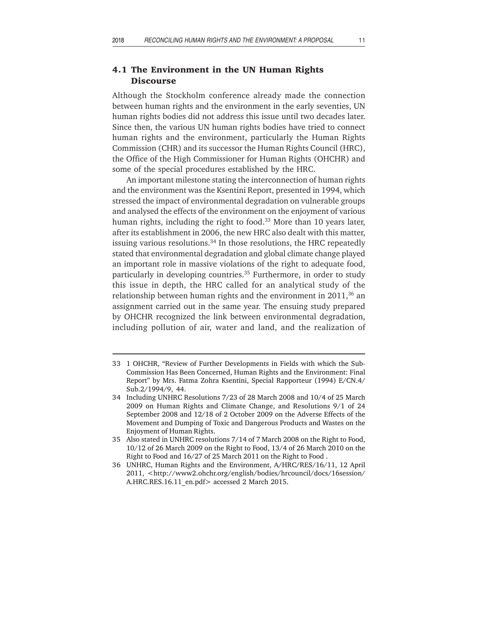#### **4.1 The Environment in the UN Human Rights Discourse**

Although the Stockholm conference already made the connection between human rights and the environment in the early seventies, UN human rights bodies did not address this issue until two decades later. Since then, the various UN human rights bodies have tried to connect human rights and the environment, particularly the Human Rights Commission (CHR) and its successor the Human Rights Council (HRC), the Office of the High Commissioner for Human Rights (OHCHR) and some of the special procedures established by the HRC.

An important milestone stating the interconnection of human rights and the environment was the Ksentini Report, presented in 1994, which stressed the impact of environmental degradation on vulnerable groups and analysed the effects of the environment on the enjoyment of various human rights, including the right to food.<sup>33</sup> More than 10 years later, after its establishment in 2006, the new HRC also dealt with this matter, issuing various resolutions.<sup>34</sup> In those resolutions, the HRC repeatedly stated that environmental degradation and global climate change played an important role in massive violations of the right to adequate food, particularly in developing countries.<sup>35</sup> Furthermore, in order to study this issue in depth, the HRC called for an analytical study of the relationship between human rights and the environment in  $2011$ ,<sup>36</sup> an assignment carried out in the same year. The ensuing study prepared by OHCHR recognized the link between environmental degradation, including pollution of air, water and land, and the realization of

<sup>33 1</sup> OHCHR, "Review of Further Developments in Fields with which the Sub-Commission Has Been Concerned, Human Rights and the Environment: Final Report" by Mrs. Fatma Zohra Ksentini, Special Rapporteur (1994) E/CN.4/ Sub.2/1994/9, 44.

<sup>34</sup> Including UNHRC Resolutions 7/23 of 28 March 2008 and 10/4 of 25 March 2009 on Human Rights and Climate Change, and Resolutions 9/1 of 24 September 2008 and 12/18 of 2 October 2009 on the Adverse Effects of the Movement and Dumping of Toxic and Dangerous Products and Wastes on the Enjoyment of Human Rights.

<sup>35</sup> Also stated in UNHRC resolutions 7/14 of 7 March 2008 on the Right to Food, 10/12 of 26 March 2009 on the Right to Food, 13/4 of 26 March 2010 on the Right to Food and 16/27 of 25 March 2011 on the Right to Food .

<sup>36</sup> UNHRC, Human Rights and the Environment, A/HRC/RES/16/11, 12 April 2011, <http://www2.ohchr.org/english/bodies/hrcouncil/docs/16session/ A.HRC.RES.16.11\_en.pdf> accessed 2 March 2015.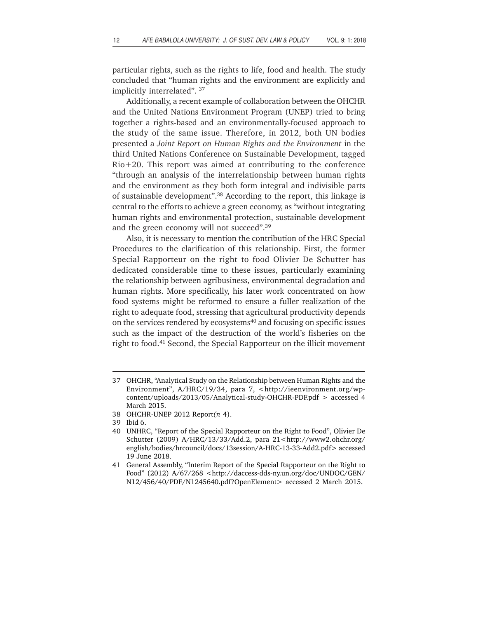particular rights, such as the rights to life, food and health. The study concluded that "human rights and the environment are explicitly and implicitly interrelated". 37

Additionally, a recent example of collaboration between the OHCHR and the United Nations Environment Program (UNEP) tried to bring together a rights-based and an environmentally-focused approach to the study of the same issue. Therefore, in 2012, both UN bodies presented a *Joint Report on Human Rights and the Environment* in the third United Nations Conference on Sustainable Development, tagged Rio+20. This report was aimed at contributing to the conference "through an analysis of the interrelationship between human rights and the environment as they both form integral and indivisible parts of sustainable development".38 According to the report, this linkage is central to the efforts to achieve a green economy, as "without integrating human rights and environmental protection, sustainable development and the green economy will not succeed".39

Also, it is necessary to mention the contribution of the HRC Special Procedures to the clarification of this relationship. First, the former Special Rapporteur on the right to food Olivier De Schutter has dedicated considerable time to these issues, particularly examining the relationship between agribusiness, environmental degradation and human rights. More specifically, his later work concentrated on how food systems might be reformed to ensure a fuller realization of the right to adequate food, stressing that agricultural productivity depends on the services rendered by ecosystems $40$  and focusing on specific issues such as the impact of the destruction of the world's fisheries on the right to food.41 Second, the Special Rapporteur on the illicit movement

<sup>37</sup> OHCHR, "Analytical Study on the Relationship between Human Rights and the Environment", A/HRC/19/34, para 7, <http://ieenvironment.org/wpcontent/uploads/2013/05/Analytical-study-OHCHR-PDF.pdf > accessed 4 March 2015.

<sup>38</sup> OHCHR-UNEP 2012 Report*(n* 4).

<sup>39</sup> Ibid 6.

<sup>40</sup> UNHRC, "Report of the Special Rapporteur on the Right to Food", Olivier De Schutter (2009) A/HRC/13/33/Add.2, para 21<http://www2.ohchr.org/ english/bodies/hrcouncil/docs/13session/A-HRC-13-33-Add2.pdf> accessed 19 June 2018.

<sup>41</sup> General Assembly, "Interim Report of the Special Rapporteur on the Right to Food" (2012) A/67/268 <http://daccess-dds-ny.un.org/doc/UNDOC/GEN/ N12/456/40/PDF/N1245640.pdf?OpenElement> accessed 2 March 2015.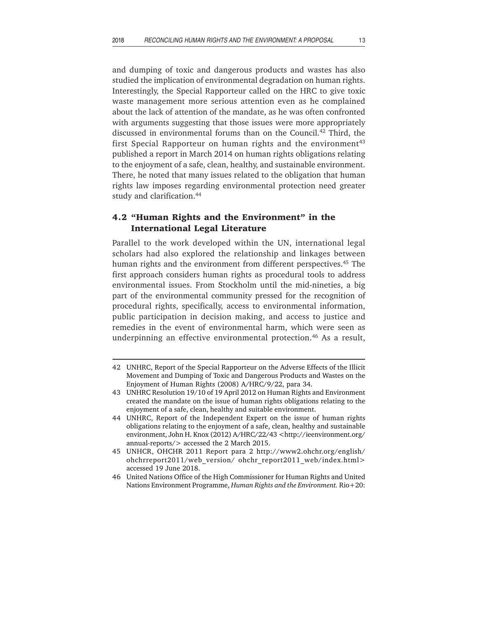and dumping of toxic and dangerous products and wastes has also studied the implication of environmental degradation on human rights. Interestingly, the Special Rapporteur called on the HRC to give toxic waste management more serious attention even as he complained about the lack of attention of the mandate, as he was often confronted with arguments suggesting that those issues were more appropriately discussed in environmental forums than on the Council.42 Third, the first Special Rapporteur on human rights and the environment<sup>43</sup> published a report in March 2014 on human rights obligations relating to the enjoyment of a safe, clean, healthy, and sustainable environment. There, he noted that many issues related to the obligation that human rights law imposes regarding environmental protection need greater study and clarification.<sup>44</sup>

### **4.2 "Human Rights and the Environment" in the International Legal Literature**

Parallel to the work developed within the UN, international legal scholars had also explored the relationship and linkages between human rights and the environment from different perspectives.<sup>45</sup> The first approach considers human rights as procedural tools to address environmental issues. From Stockholm until the mid-nineties, a big part of the environmental community pressed for the recognition of procedural rights, specifically, access to environmental information, public participation in decision making, and access to justice and remedies in the event of environmental harm, which were seen as underpinning an effective environmental protection.<sup>46</sup> As a result,

<sup>42</sup> UNHRC, Report of the Special Rapporteur on the Adverse Effects of the Illicit Movement and Dumping of Toxic and Dangerous Products and Wastes on the Enjoyment of Human Rights (2008) A/HRC/9/22, para 34.

<sup>43</sup> UNHRC Resolution 19/10 of 19 April 2012 on Human Rights and Environment created the mandate on the issue of human rights obligations relating to the enjoyment of a safe, clean, healthy and suitable environment.

<sup>44</sup> UNHRC, Report of the Independent Expert on the issue of human rights obligations relating to the enjoyment of a safe, clean, healthy and sustainable environment, John H. Knox (2012) A/HRC/22/43 <http://ieenvironment.org/ annual-reports/> accessed the 2 March 2015.

<sup>45</sup> UNHCR, OHCHR 2011 Report para 2 http://www2.ohchr.org/english/ ohchrreport2011/web\_version/ ohchr\_report2011\_web/index.html> accessed 19 June 2018.

<sup>46</sup> United Nations Office of the High Commissioner for Human Rights and United Nations Environment Programme, *Human Rights and the Environment.* Rio+20: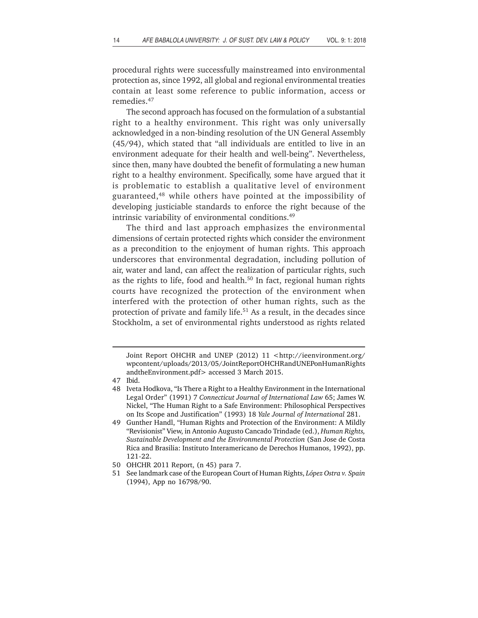procedural rights were successfully mainstreamed into environmental protection as, since 1992, all global and regional environmental treaties contain at least some reference to public information, access or remedies.47

The second approach has focused on the formulation of a substantial right to a healthy environment. This right was only universally acknowledged in a non-binding resolution of the UN General Assembly (45/94), which stated that "all individuals are entitled to live in an environment adequate for their health and well-being". Nevertheless, since then, many have doubted the benefit of formulating a new human right to a healthy environment. Specifically, some have argued that it is problematic to establish a qualitative level of environment guaranteed,48 while others have pointed at the impossibility of developing justiciable standards to enforce the right because of the intrinsic variability of environmental conditions.<sup>49</sup>

The third and last approach emphasizes the environmental dimensions of certain protected rights which consider the environment as a precondition to the enjoyment of human rights. This approach underscores that environmental degradation, including pollution of air, water and land, can affect the realization of particular rights, such as the rights to life, food and health.<sup>50</sup> In fact, regional human rights courts have recognized the protection of the environment when interfered with the protection of other human rights, such as the protection of private and family life.<sup>51</sup> As a result, in the decades since Stockholm, a set of environmental rights understood as rights related

Joint Report OHCHR and UNEP (2012) 11 <http://ieenvironment.org/ wpcontent/uploads/2013/05/JointReportOHCHRandUNEPonHumanRights andtheEnvironment.pdf> accessed 3 March 2015.

<sup>47</sup> Ibid.

<sup>48</sup> Iveta Hodkova, "Is There a Right to a Healthy Environment in the International Legal Order" (1991) 7 *Connecticut Journal of International Law* 65; James W. Nickel, "The Human Right to a Safe Environment: Philosophical Perspectives on Its Scope and Justification" (1993) 18 *Yale Journal of International* 281.

<sup>49</sup> Gunther Handl, "Human Rights and Protection of the Environment: A Mildly "Revisionist" View, in Antonio Augusto Cancado Trindade (ed.), *Human Rights, Sustainable Development and the Environmental Protection* (San Jose de Costa Rica and Brasilia: Instituto Interamericano de Derechos Humanos, 1992), pp. 121-22.

<sup>50</sup> OHCHR 2011 Report, (n 45) para 7.

<sup>51</sup> See landmark case of the European Court of Human Rights, *López Ostra v. Spain* (1994), App no 16798/90.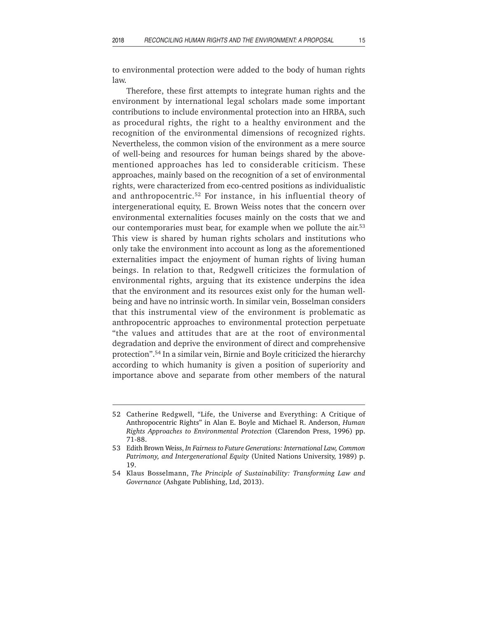to environmental protection were added to the body of human rights law.

Therefore, these first attempts to integrate human rights and the environment by international legal scholars made some important contributions to include environmental protection into an HRBA, such as procedural rights, the right to a healthy environment and the recognition of the environmental dimensions of recognized rights. Nevertheless, the common vision of the environment as a mere source of well-being and resources for human beings shared by the abovementioned approaches has led to considerable criticism. These approaches, mainly based on the recognition of a set of environmental rights, were characterized from eco-centred positions as individualistic and anthropocentric.<sup>52</sup> For instance, in his influential theory of intergenerational equity, E. Brown Weiss notes that the concern over environmental externalities focuses mainly on the costs that we and our contemporaries must bear, for example when we pollute the air.<sup>53</sup> This view is shared by human rights scholars and institutions who only take the environment into account as long as the aforementioned externalities impact the enjoyment of human rights of living human beings. In relation to that, Redgwell criticizes the formulation of environmental rights, arguing that its existence underpins the idea that the environment and its resources exist only for the human wellbeing and have no intrinsic worth. In similar vein, Bosselman considers that this instrumental view of the environment is problematic as anthropocentric approaches to environmental protection perpetuate "the values and attitudes that are at the root of environmental degradation and deprive the environment of direct and comprehensive protection".54 In a similar vein, Birnie and Boyle criticized the hierarchy according to which humanity is given a position of superiority and importance above and separate from other members of the natural

<sup>52</sup> Catherine Redgwell, "Life, the Universe and Everything: A Critique of Anthropocentric Rights" in Alan E. Boyle and Michael R. Anderson, *Human Rights Approaches to Environmental Protection* (Clarendon Press, 1996) pp. 71-88.

<sup>53</sup> Edith Brown Weiss, *In Fairness to Future Generations: International Law, Common Patrimony, and Intergenerational Equity* (United Nations University, 1989) p. 19.

<sup>54</sup> Klaus Bosselmann, *The Principle of Sustainability: Transforming Law and Governance* (Ashgate Publishing, Ltd, 2013).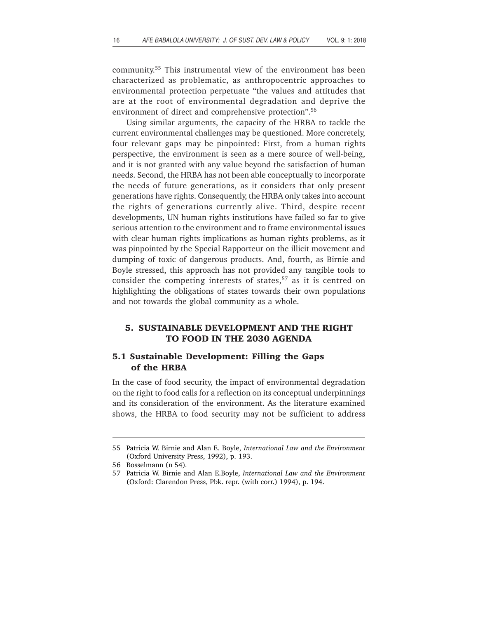community.55 This instrumental view of the environment has been characterized as problematic, as anthropocentric approaches to environmental protection perpetuate "the values and attitudes that are at the root of environmental degradation and deprive the environment of direct and comprehensive protection".56

Using similar arguments, the capacity of the HRBA to tackle the current environmental challenges may be questioned. More concretely, four relevant gaps may be pinpointed: First, from a human rights perspective, the environment is seen as a mere source of well-being, and it is not granted with any value beyond the satisfaction of human needs. Second, the HRBA has not been able conceptually to incorporate the needs of future generations, as it considers that only present generations have rights. Consequently, the HRBA only takes into account the rights of generations currently alive. Third, despite recent developments, UN human rights institutions have failed so far to give serious attention to the environment and to frame environmental issues with clear human rights implications as human rights problems, as it was pinpointed by the Special Rapporteur on the illicit movement and dumping of toxic of dangerous products. And, fourth, as Birnie and Boyle stressed, this approach has not provided any tangible tools to consider the competing interests of states,<sup>57</sup> as it is centred on highlighting the obligations of states towards their own populations and not towards the global community as a whole.

#### **5. SUSTAINABLE DEVELOPMENT AND THE RIGHT TO FOOD IN THE 2030 AGENDA**

#### **5.1 Sustainable Development: Filling the Gaps of the HRBA**

In the case of food security, the impact of environmental degradation on the right to food calls for a reflection on its conceptual underpinnings and its consideration of the environment. As the literature examined shows, the HRBA to food security may not be sufficient to address

<sup>55</sup> Patricia W. Birnie and Alan E. Boyle, *International Law and the Environment* (Oxford University Press, 1992), p. 193.

<sup>56</sup> Bosselmann (n 54)*.*

<sup>57</sup> Patricia W. Birnie and Alan E.Boyle, *International Law and the Environment* (Oxford: Clarendon Press, Pbk. repr. (with corr.) 1994), p. 194.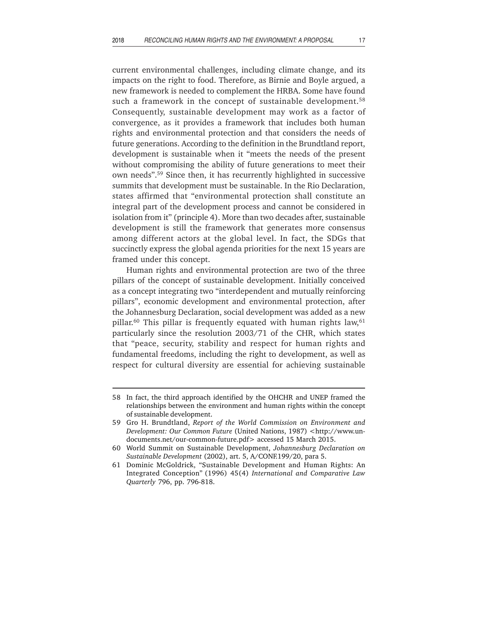current environmental challenges, including climate change, and its impacts on the right to food. Therefore, as Birnie and Boyle argued, a new framework is needed to complement the HRBA. Some have found such a framework in the concept of sustainable development.<sup>58</sup> Consequently, sustainable development may work as a factor of convergence, as it provides a framework that includes both human rights and environmental protection and that considers the needs of future generations. According to the definition in the Brundtland report, development is sustainable when it "meets the needs of the present without compromising the ability of future generations to meet their own needs".59 Since then, it has recurrently highlighted in successive summits that development must be sustainable. In the Rio Declaration, states affirmed that "environmental protection shall constitute an integral part of the development process and cannot be considered in isolation from it" (principle 4). More than two decades after, sustainable development is still the framework that generates more consensus among different actors at the global level. In fact, the SDGs that succinctly express the global agenda priorities for the next 15 years are framed under this concept.

Human rights and environmental protection are two of the three pillars of the concept of sustainable development. Initially conceived as a concept integrating two "interdependent and mutually reinforcing pillars", economic development and environmental protection, after the Johannesburg Declaration, social development was added as a new pillar.<sup>60</sup> This pillar is frequently equated with human rights law,  $61$ particularly since the resolution 2003/71 of the CHR, which states that "peace, security, stability and respect for human rights and fundamental freedoms, including the right to development, as well as respect for cultural diversity are essential for achieving sustainable

<sup>58</sup> In fact, the third approach identified by the OHCHR and UNEP framed the relationships between the environment and human rights within the concept of sustainable development.

<sup>59</sup> Gro H. Brundtland, *Report of the World Commission on Environment and Development: Our Common Future* (United Nations, 1987) <http://www.undocuments.net/our-common-future.pdf> accessed 15 March 2015.

<sup>60</sup> World Summit on Sustainable Development, *Johannesburg Declaration on Sustainable Development* (2002), art. 5, A/CONF.199/20, para 5.

<sup>61</sup> Dominic McGoldrick, "Sustainable Development and Human Rights: An Integrated Conception" (1996) 45(4) *International and Comparative Law Quarterly* 796, pp. 796-818.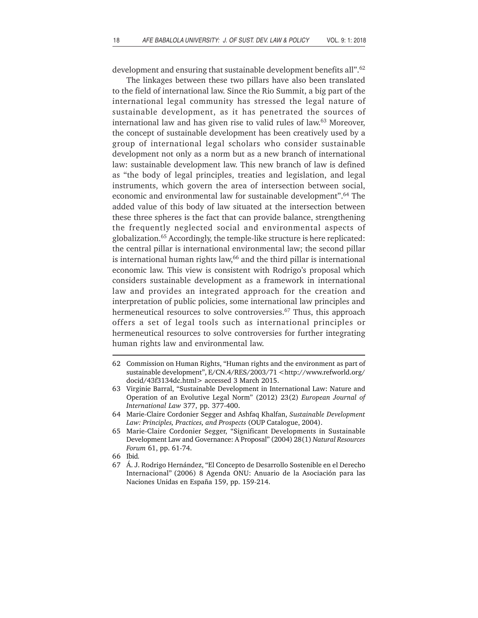development and ensuring that sustainable development benefits all".62

The linkages between these two pillars have also been translated to the field of international law. Since the Rio Summit, a big part of the international legal community has stressed the legal nature of sustainable development, as it has penetrated the sources of international law and has given rise to valid rules of law.63 Moreover, the concept of sustainable development has been creatively used by a group of international legal scholars who consider sustainable development not only as a norm but as a new branch of international law: sustainable development law. This new branch of law is defined as "the body of legal principles, treaties and legislation, and legal instruments, which govern the area of intersection between social, economic and environmental law for sustainable development".64 The added value of this body of law situated at the intersection between these three spheres is the fact that can provide balance, strengthening the frequently neglected social and environmental aspects of globalization.65 Accordingly, the temple-like structure is here replicated: the central pillar is international environmental law; the second pillar is international human rights law, $66$  and the third pillar is international economic law. This view is consistent with Rodrigo's proposal which considers sustainable development as a framework in international law and provides an integrated approach for the creation and interpretation of public policies, some international law principles and hermeneutical resources to solve controversies.<sup>67</sup> Thus, this approach offers a set of legal tools such as international principles or hermeneutical resources to solve controversies for further integrating human rights law and environmental law.

<sup>62</sup> Commission on Human Rights, "Human rights and the environment as part of sustainable development", E/CN.4/RES/2003/71 <http://www.refworld.org/ docid/43f3134dc.html> accessed 3 March 2015.

<sup>63</sup> Virginie Barral, "Sustainable Development in International Law: Nature and Operation of an Evolutive Legal Norm" (2012) 23(2) *European Journal of International Law* 377, pp. 377-400.

<sup>64</sup> Marie-Claire Cordonier Segger and Ashfaq Khalfan, *Sustainable Development Law: Principles, Practices, and Prospects* (OUP Catalogue, 2004).

<sup>65</sup> Marie-Claire Cordonier Segger, "Significant Developments in Sustainable Development Law and Governance: A Proposal" (2004) 28(1) *Natural Resources Forum* 61, pp. 61-74.

<sup>66</sup> Ibid*.*

<sup>67</sup> Á. J. Rodrigo Hernández, "El Concepto de Desarrollo Sostenible en el Derecho Internacional" (2006) 8 Agenda ONU: Anuario de la Asociación para las Naciones Unidas en España 159, pp. 159-214.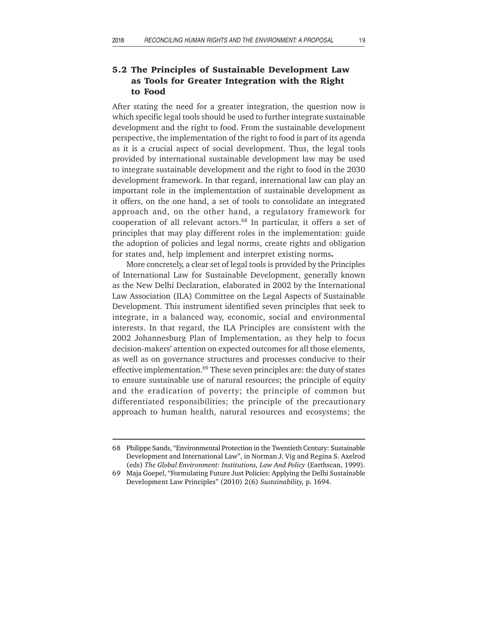# **5.2 The Principles of Sustainable Development Law as Tools for Greater Integration with the Right to Food**

After stating the need for a greater integration, the question now is which specific legal tools should be used to further integrate sustainable development and the right to food. From the sustainable development perspective, the implementation of the right to food is part of its agenda as it is a crucial aspect of social development. Thus, the legal tools provided by international sustainable development law may be used to integrate sustainable development and the right to food in the 2030 development framework. In that regard, international law can play an important role in the implementation of sustainable development as it offers, on the one hand, a set of tools to consolidate an integrated approach and, on the other hand, a regulatory framework for cooperation of all relevant actors.<sup>68</sup> In particular, it offers a set of principles that may play different roles in the implementation: guide the adoption of policies and legal norms, create rights and obligation for states and, help implement and interpret existing norms**.**

More concretely, a clear set of legal tools is provided by the Principles of International Law for Sustainable Development, generally known as the New Delhi Declaration, elaborated in 2002 by the International Law Association (ILA) Committee on the Legal Aspects of Sustainable Development. This instrument identified seven principles that seek to integrate, in a balanced way, economic, social and environmental interests. In that regard, the ILA Principles are consistent with the 2002 Johannesburg Plan of Implementation, as they help to focus decision-makers' attention on expected outcomes for all those elements, as well as on governance structures and processes conducive to their effective implementation.<sup>69</sup> These seven principles are: the duty of states to ensure sustainable use of natural resources; the principle of equity and the eradication of poverty; the principle of common but differentiated responsibilities; the principle of the precautionary approach to human health, natural resources and ecosystems; the

<sup>68</sup> Philippe Sands, "Environmental Protection in the Twentieth Century: Sustainable Development and International Law", in Norman J. Vig and Regina S. Axelrod (eds) *The Global Environment: Institutions, Law And Policy* (Earthscan, 1999).

<sup>69</sup> Maja Goepel, "Formulating Future Just Policies: Applying the Delhi Sustainable Development Law Principles" (2010) 2(6) *Sustainability,* p. 1694.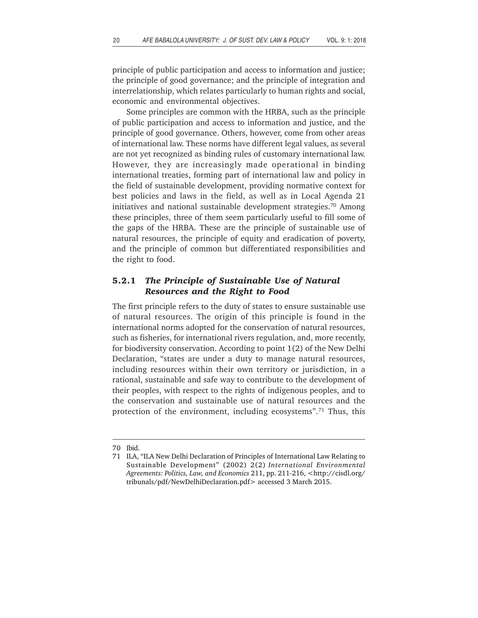principle of public participation and access to information and justice; the principle of good governance; and the principle of integration and interrelationship, which relates particularly to human rights and social, economic and environmental objectives.

Some principles are common with the HRBA, such as the principle of public participation and access to information and justice, and the principle of good governance. Others, however, come from other areas of international law. These norms have different legal values, as several are not yet recognized as binding rules of customary international law. However, they are increasingly made operational in binding international treaties, forming part of international law and policy in the field of sustainable development, providing normative context for best policies and laws in the field, as well as in Local Agenda 21 initiatives and national sustainable development strategies.<sup>70</sup> Among these principles, three of them seem particularly useful to fill some of the gaps of the HRBA. These are the principle of sustainable use of natural resources, the principle of equity and eradication of poverty, and the principle of common but differentiated responsibilities and the right to food.

# **5.2.1** *The Principle of Sustainable Use of Natural Resources and the Right to Food*

The first principle refers to the duty of states to ensure sustainable use of natural resources. The origin of this principle is found in the international norms adopted for the conservation of natural resources, such as fisheries, for international rivers regulation, and, more recently, for biodiversity conservation. According to point 1(2) of the New Delhi Declaration, "states are under a duty to manage natural resources, including resources within their own territory or jurisdiction, in a rational, sustainable and safe way to contribute to the development of their peoples, with respect to the rights of indigenous peoples, and to the conservation and sustainable use of natural resources and the protection of the environment, including ecosystems".<sup>71</sup> Thus, this

<sup>70</sup> Ibid.

<sup>71</sup> ILA, "ILA New Delhi Declaration of Principles of International Law Relating to Sustainable Development" (2002) 2(2) *International Environmental Agreements: Politics, Law, and Economics* 211, pp. 211-216, <http://cisdl.org/ tribunals/pdf/NewDelhiDeclaration.pdf> accessed 3 March 2015.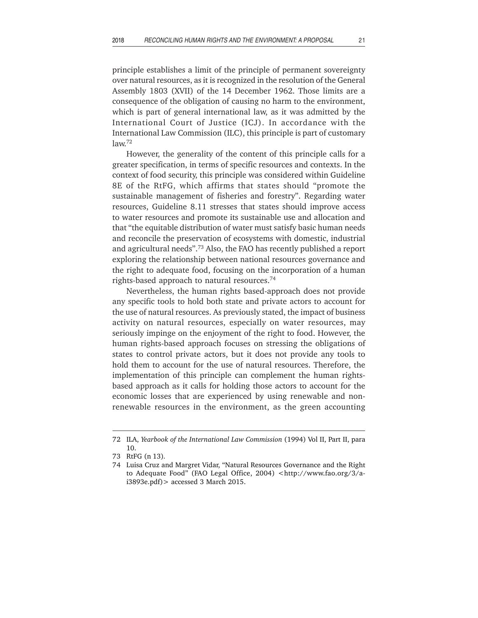principle establishes a limit of the principle of permanent sovereignty over natural resources, as it is recognized in the resolution of the General Assembly 1803 (XVII) of the 14 December 1962. Those limits are a consequence of the obligation of causing no harm to the environment, which is part of general international law, as it was admitted by the International Court of Justice (ICJ). In accordance with the International Law Commission (ILC), this principle is part of customary law.72

However, the generality of the content of this principle calls for a greater specification, in terms of specific resources and contexts. In the context of food security, this principle was considered within Guideline 8E of the RtFG, which affirms that states should "promote the sustainable management of fisheries and forestry". Regarding water resources, Guideline 8.11 stresses that states should improve access to water resources and promote its sustainable use and allocation and that "the equitable distribution of water must satisfy basic human needs and reconcile the preservation of ecosystems with domestic, industrial and agricultural needs".73 Also, the FAO has recently published a report exploring the relationship between national resources governance and the right to adequate food, focusing on the incorporation of a human rights-based approach to natural resources.74

Nevertheless, the human rights based-approach does not provide any specific tools to hold both state and private actors to account for the use of natural resources. As previously stated, the impact of business activity on natural resources, especially on water resources, may seriously impinge on the enjoyment of the right to food. However, the human rights-based approach focuses on stressing the obligations of states to control private actors, but it does not provide any tools to hold them to account for the use of natural resources. Therefore, the implementation of this principle can complement the human rightsbased approach as it calls for holding those actors to account for the economic losses that are experienced by using renewable and nonrenewable resources in the environment, as the green accounting

<sup>72</sup> ILA, *Yearbook of the International Law Commission* (1994) Vol II, Part II, para 10.

<sup>73</sup> RtFG (n 13)*.*

<sup>74</sup> Luisa Cruz and Margret Vidar, "Natural Resources Governance and the Right to Adequate Food" (FAO Legal Office, 2004) <http://www.fao.org/3/ai3893e.pdf)> accessed 3 March 2015.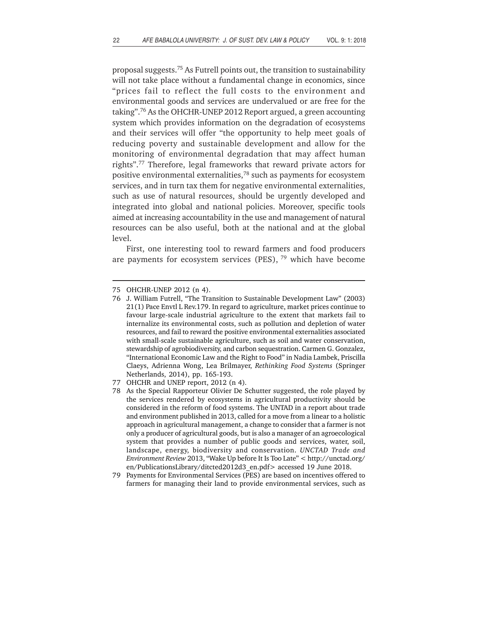proposal suggests.75 As Futrell points out, the transition to sustainability will not take place without a fundamental change in economics, since "prices fail to reflect the full costs to the environment and environmental goods and services are undervalued or are free for the taking".76 As the OHCHR-UNEP 2012 Report argued, a green accounting system which provides information on the degradation of ecosystems and their services will offer "the opportunity to help meet goals of reducing poverty and sustainable development and allow for the monitoring of environmental degradation that may affect human rights".77 Therefore, legal frameworks that reward private actors for positive environmental externalities,78 such as payments for ecosystem services, and in turn tax them for negative environmental externalities, such as use of natural resources, should be urgently developed and integrated into global and national policies. Moreover, specific tools aimed at increasing accountability in the use and management of natural resources can be also useful, both at the national and at the global level.

First, one interesting tool to reward farmers and food producers are payments for ecosystem services (PES),  $79$  which have become

<sup>75</sup> OHCHR-UNEP 2012 (n 4).

<sup>76</sup> J. William Futrell, "The Transition to Sustainable Development Law" (2003) 21(1) Pace Envtl L Rev.179. In regard to agriculture, market prices continue to favour large-scale industrial agriculture to the extent that markets fail to internalize its environmental costs, such as pollution and depletion of water resources, and fail to reward the positive environmental externalities associated with small-scale sustainable agriculture, such as soil and water conservation, stewardship of agrobiodiversity, and carbon sequestration. Carmen G. Gonzalez, "International Economic Law and the Right to Food" in Nadia Lambek, Priscilla Claeys, Adrienna Wong, Lea Brilmayer, *Rethinking Food Systems* (Springer Netherlands, 2014), pp. 165-193.

<sup>77</sup> OHCHR and UNEP report, 2012 (n 4)*.*

<sup>78</sup> As the Special Rapporteur Olivier De Schutter suggested, the role played by the services rendered by ecosystems in agricultural productivity should be considered in the reform of food systems. The UNTAD in a report about trade and environment published in 2013, called for a move from a linear to a holistic approach in agricultural management, a change to consider that a farmer is not only a producer of agricultural goods, but is also a manager of an agroecological system that provides a number of public goods and services, water, soil, landscape, energy, biodiversity and conservation. *UNCTAD Trade and Environment Review* 2013, "Wake Up before It Is Too Late" < http://unctad.org/ en/PublicationsLibrary/ditcted2012d3\_en.pdf> accessed 19 June 2018.

<sup>79</sup> Payments for Environmental Services (PES) are based on incentives offered to farmers for managing their land to provide environmental services, such as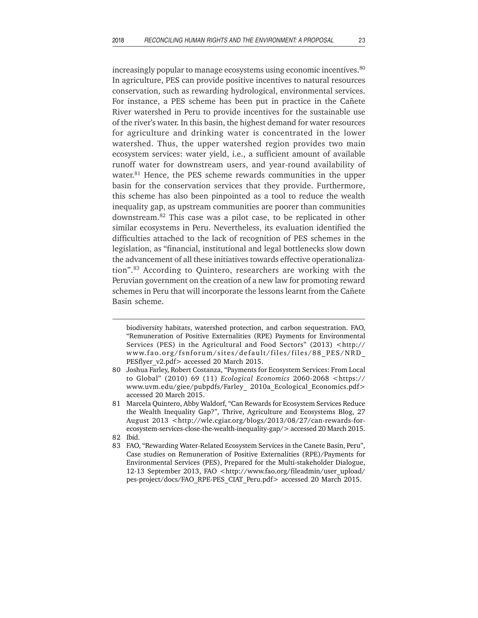increasingly popular to manage ecosystems using economic incentives.<sup>80</sup> In agriculture, PES can provide positive incentives to natural resources conservation, such as rewarding hydrological, environmental services. For instance, a PES scheme has been put in practice in the Cañete River watershed in Peru to provide incentives for the sustainable use of the river's water. In this basin, the highest demand for water resources for agriculture and drinking water is concentrated in the lower watershed. Thus, the upper watershed region provides two main ecosystem services: water yield, i.e., a sufficient amount of available runoff water for downstream users, and year-round availability of water.<sup>81</sup> Hence, the PES scheme rewards communities in the upper basin for the conservation services that they provide. Furthermore, this scheme has also been pinpointed as a tool to reduce the wealth inequality gap, as upstream communities are poorer than communities downstream.82 This case was a pilot case, to be replicated in other similar ecosystems in Peru. Nevertheless, its evaluation identified the difficulties attached to the lack of recognition of PES schemes in the legislation, as "financial, institutional and legal bottlenecks slow down the advancement of all these initiatives towards effective operationalization".83 According to Quintero, researchers are working with the Peruvian government on the creation of a new law for promoting reward schemes in Peru that will incorporate the lessons learnt from the Cañete Basin scheme.

biodiversity habitats, watershed protection, and carbon sequestration. FAO, "Remuneration of Positive Externalities (RPE) Payments for Environmental Services (PES) in the Agricultural and Food Sectors" (2013) <http:// www.fao.org/fsnforum/sites/default/files/files/88\_PES/NRD\_ PESflyer\_v2.pdf> accessed 20 March 2015.

<sup>80</sup> Joshua Farley, Robert Costanza, "Payments for Ecosystem Services: From Local to Global" (2010) 69 (11) *Ecological Economics* 2060-2068 <https:// www.uvm.edu/giee/pubpdfs/Farley\_ 2010a\_Ecological\_Economics.pdf> accessed 20 March 2015.

<sup>81</sup> Marcela Quintero, Abby Waldorf, "Can Rewards for Ecosystem Services Reduce the Wealth Inequality Gap?", Thrive, Agriculture and Ecosystems Blog, 27 August 2013 <http://wle.cgiar.org/blogs/2013/08/27/can-rewards-forecosystem-services-close-the-wealth-inequality-gap/> accessed 20 March 2015.

<sup>82</sup> Ibid.

<sup>83</sup> FAO, "Rewarding Water-Related Ecosystem Services in the Canete Basin, Peru", Case studies on Remuneration of Positive Externalities (RPE)/Payments for Environmental Services (PES), Prepared for the Multi-stakeholder Dialogue, 12-13 September 2013, FAO <http://www.fao.org/fileadmin/user\_upload/ pes-project/docs/FAO\_RPE-PES\_CIAT\_Peru.pdf> accessed 20 March 2015.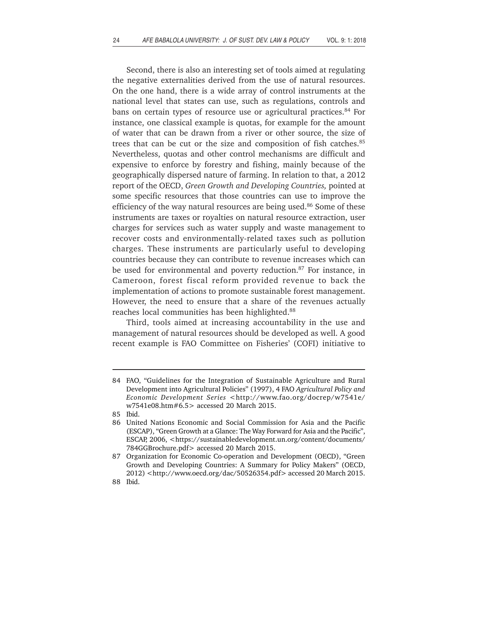Second, there is also an interesting set of tools aimed at regulating the negative externalities derived from the use of natural resources. On the one hand, there is a wide array of control instruments at the national level that states can use, such as regulations, controls and bans on certain types of resource use or agricultural practices.<sup>84</sup> For instance, one classical example is quotas, for example for the amount of water that can be drawn from a river or other source, the size of trees that can be cut or the size and composition of fish catches.<sup>85</sup> Nevertheless, quotas and other control mechanisms are difficult and expensive to enforce by forestry and fishing, mainly because of the geographically dispersed nature of farming. In relation to that, a 2012 report of the OECD, *Green Growth and Developing Countries,* pointed at some specific resources that those countries can use to improve the efficiency of the way natural resources are being used.<sup>86</sup> Some of these instruments are taxes or royalties on natural resource extraction, user charges for services such as water supply and waste management to recover costs and environmentally-related taxes such as pollution charges. These instruments are particularly useful to developing countries because they can contribute to revenue increases which can be used for environmental and poverty reduction.<sup>87</sup> For instance, in Cameroon, forest fiscal reform provided revenue to back the implementation of actions to promote sustainable forest management. However, the need to ensure that a share of the revenues actually reaches local communities has been highlighted.<sup>88</sup>

Third, tools aimed at increasing accountability in the use and management of natural resources should be developed as well. A good recent example is FAO Committee on Fisheries' (COFI) initiative to

<sup>84</sup> FAO, "Guidelines for the Integration of Sustainable Agriculture and Rural Development into Agricultural Policies" (1997), 4 FAO *Agricultural Policy and Economic Development Series* <http://www.fao.org/docrep/w7541e/ w7541e08.htm#6.5> accessed 20 March 2015.

<sup>85</sup> Ibid.

<sup>86</sup> United Nations Economic and Social Commission for Asia and the Pacific (ESCAP), "Green Growth at a Glance: The Way Forward for Asia and the Pacific", ESCAP, 2006, <https://sustainabledevelopment.un.org/content/documents/ 784GGBrochure.pdf> accessed 20 March 2015.

<sup>87</sup> Organization for Economic Co-operation and Development (OECD), "Green Growth and Developing Countries: A Summary for Policy Makers" (OECD, 2012) <http://www.oecd.org/dac/50526354.pdf> accessed 20 March 2015.

<sup>88</sup> Ibid.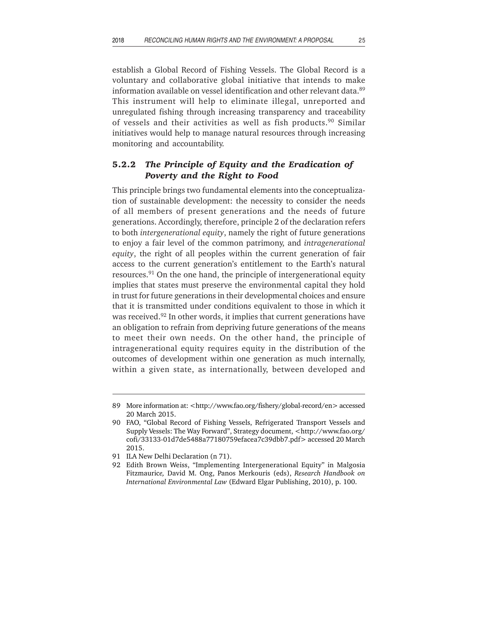establish a Global Record of Fishing Vessels. The Global Record is a voluntary and collaborative global initiative that intends to make information available on vessel identification and other relevant data.<sup>89</sup> This instrument will help to eliminate illegal, unreported and unregulated fishing through increasing transparency and traceability of vessels and their activities as well as fish products.<sup>90</sup> Similar initiatives would help to manage natural resources through increasing monitoring and accountability.

# **5.2.2** *The Principle of Equity and the Eradication of Poverty and the Right to Food*

This principle brings two fundamental elements into the conceptualization of sustainable development: the necessity to consider the needs of all members of present generations and the needs of future generations. Accordingly, therefore, principle 2 of the declaration refers to both *intergenerational equity*, namely the right of future generations to enjoy a fair level of the common patrimony, and *intragenerational equity*, the right of all peoples within the current generation of fair access to the current generation's entitlement to the Earth's natural resources.91 On the one hand, the principle of intergenerational equity implies that states must preserve the environmental capital they hold in trust for future generations in their developmental choices and ensure that it is transmitted under conditions equivalent to those in which it was received.<sup>92</sup> In other words, it implies that current generations have an obligation to refrain from depriving future generations of the means to meet their own needs. On the other hand, the principle of intragenerational equity requires equity in the distribution of the outcomes of development within one generation as much internally, within a given state, as internationally, between developed and

<sup>89</sup> More information at: <http://www.fao.org/fishery/global-record/en> accessed 20 March 2015.

<sup>90</sup> FAO, "Global Record of Fishing Vessels, Refrigerated Transport Vessels and Supply Vessels: The Way Forward", Strategy document, <http://www.fao.org/ cofi/33133-01d7de5488a77180759efacea7c39dbb7.pdf> accessed 20 March 2015.

<sup>91</sup> ILA New Delhi Declaration (n 71).

<sup>92</sup> Edith Brown Weiss, "Implementing Intergenerational Equity" in Malgosia Fitzmauric*e,* David M. Ong, Panos Merkouris (eds), *Research Handbook on International Environmental Law* (Edward Elgar Publishing, 2010), p. 100.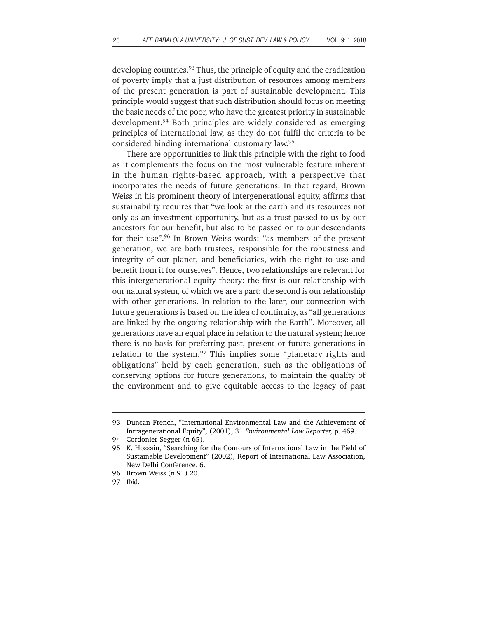developing countries.<sup>93</sup> Thus, the principle of equity and the eradication of poverty imply that a just distribution of resources among members of the present generation is part of sustainable development. This principle would suggest that such distribution should focus on meeting the basic needs of the poor, who have the greatest priority in sustainable development.94 Both principles are widely considered as emerging principles of international law, as they do not fulfil the criteria to be considered binding international customary law.95

There are opportunities to link this principle with the right to food as it complements the focus on the most vulnerable feature inherent in the human rights-based approach, with a perspective that incorporates the needs of future generations. In that regard, Brown Weiss in his prominent theory of intergenerational equity, affirms that sustainability requires that "we look at the earth and its resources not only as an investment opportunity, but as a trust passed to us by our ancestors for our benefit, but also to be passed on to our descendants for their use".96 In Brown Weiss words: "as members of the present generation, we are both trustees, responsible for the robustness and integrity of our planet, and beneficiaries, with the right to use and benefit from it for ourselves". Hence, two relationships are relevant for this intergenerational equity theory: the first is our relationship with our natural system, of which we are a part; the second is our relationship with other generations. In relation to the later, our connection with future generations is based on the idea of continuity, as "all generations are linked by the ongoing relationship with the Earth". Moreover, all generations have an equal place in relation to the natural system; hence there is no basis for preferring past, present or future generations in relation to the system.<sup>97</sup> This implies some "planetary rights and obligations" held by each generation, such as the obligations of conserving options for future generations, to maintain the quality of the environment and to give equitable access to the legacy of past

<sup>93</sup> Duncan French, "International Environmental Law and the Achievement of Intragenerational Equity", (2001), 31 *Environmental Law Reporter,* p. 469.

<sup>94</sup> Cordonier Segger (n 65).

<sup>95</sup> K. Hossain, "Searching for the Contours of International Law in the Field of Sustainable Development" (2002), Report of International Law Association, New Delhi Conference, 6.

<sup>96</sup> Brown Weiss (n 91) 20.

<sup>97</sup> Ibid.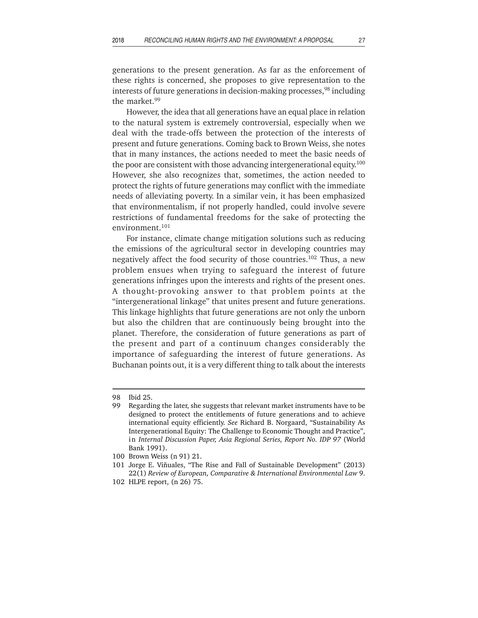generations to the present generation. As far as the enforcement of these rights is concerned, she proposes to give representation to the interests of future generations in decision-making processes,<sup>98</sup> including the market.99

However, the idea that all generations have an equal place in relation to the natural system is extremely controversial, especially when we deal with the trade-offs between the protection of the interests of present and future generations. Coming back to Brown Weiss, she notes that in many instances, the actions needed to meet the basic needs of the poor are consistent with those advancing intergenerational equity.<sup>100</sup> However, she also recognizes that, sometimes, the action needed to protect the rights of future generations may conflict with the immediate needs of alleviating poverty. In a similar vein, it has been emphasized that environmentalism, if not properly handled, could involve severe restrictions of fundamental freedoms for the sake of protecting the environment.<sup>101</sup>

For instance, climate change mitigation solutions such as reducing the emissions of the agricultural sector in developing countries may negatively affect the food security of those countries.<sup>102</sup> Thus, a new problem ensues when trying to safeguard the interest of future generations infringes upon the interests and rights of the present ones. A thought-provoking answer to that problem points at the "intergenerational linkage" that unites present and future generations. This linkage highlights that future generations are not only the unborn but also the children that are continuously being brought into the planet. Therefore, the consideration of future generations as part of the present and part of a continuum changes considerably the importance of safeguarding the interest of future generations. As Buchanan points out, it is a very different thing to talk about the interests

<sup>98</sup> Ibid 25.

<sup>99</sup> Regarding the later, she suggests that relevant market instruments have to be designed to protect the entitlements of future generations and to achieve international equity efficiently. *See* Richard B. Norgaard, "Sustainability As Intergenerational Equity: The Challenge to Economic Thought and Practice", in *Internal Discussion Paper, Asia Regional Series, Report No. IDP 97* (World Bank 1991).

<sup>100</sup> Brown Weiss (n 91) 21.

<sup>101</sup> Jorge E. Viñuales, "The Rise and Fall of Sustainable Development" (2013) 22(1) *Review of European, Comparative & International Environmental Law* 9.

<sup>102</sup> HLPE report, (n 26) 75.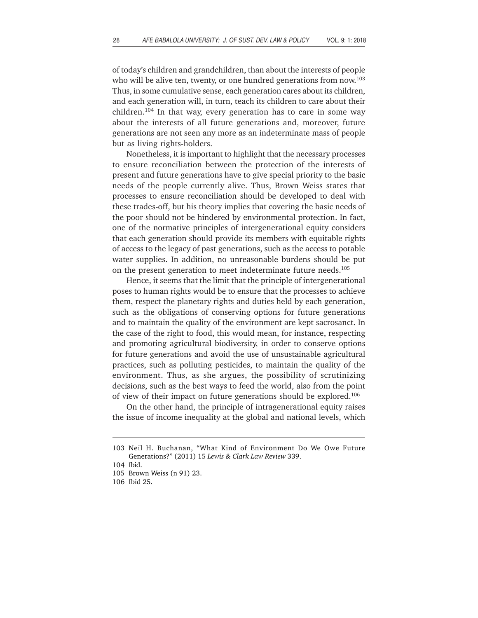of today's children and grandchildren, than about the interests of people who will be alive ten, twenty, or one hundred generations from now.<sup>103</sup> Thus, in some cumulative sense, each generation cares about its children, and each generation will, in turn, teach its children to care about their children.104 In that way, every generation has to care in some way about the interests of all future generations and, moreover, future generations are not seen any more as an indeterminate mass of people but as living rights-holders.

Nonetheless, it is important to highlight that the necessary processes to ensure reconciliation between the protection of the interests of present and future generations have to give special priority to the basic needs of the people currently alive. Thus, Brown Weiss states that processes to ensure reconciliation should be developed to deal with these trades-off, but his theory implies that covering the basic needs of the poor should not be hindered by environmental protection. In fact, one of the normative principles of intergenerational equity considers that each generation should provide its members with equitable rights of access to the legacy of past generations, such as the access to potable water supplies. In addition, no unreasonable burdens should be put on the present generation to meet indeterminate future needs.<sup>105</sup>

Hence, it seems that the limit that the principle of intergenerational poses to human rights would be to ensure that the processes to achieve them, respect the planetary rights and duties held by each generation, such as the obligations of conserving options for future generations and to maintain the quality of the environment are kept sacrosanct. In the case of the right to food, this would mean, for instance, respecting and promoting agricultural biodiversity, in order to conserve options for future generations and avoid the use of unsustainable agricultural practices, such as polluting pesticides, to maintain the quality of the environment. Thus, as she argues, the possibility of scrutinizing decisions, such as the best ways to feed the world, also from the point of view of their impact on future generations should be explored.106

On the other hand, the principle of intragenerational equity raises the issue of income inequality at the global and national levels, which

<sup>103</sup> Neil H. Buchanan, "What Kind of Environment Do We Owe Future Generations?" (2011) 15 *Lewis & Clark Law Review* 339.

<sup>104</sup> Ibid.

<sup>105</sup> Brown Weiss (n 91) 23.

<sup>106</sup> Ibid 25.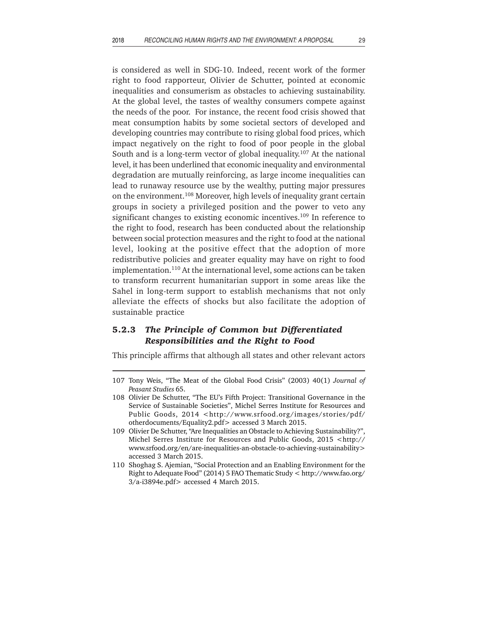is considered as well in SDG-10. Indeed, recent work of the former right to food rapporteur, Olivier de Schutter, pointed at economic inequalities and consumerism as obstacles to achieving sustainability. At the global level, the tastes of wealthy consumers compete against the needs of the poor. For instance, the recent food crisis showed that meat consumption habits by some societal sectors of developed and developing countries may contribute to rising global food prices, which impact negatively on the right to food of poor people in the global South and is a long-term vector of global inequality.<sup>107</sup> At the national level, it has been underlined that economic inequality and environmental degradation are mutually reinforcing, as large income inequalities can lead to runaway resource use by the wealthy, putting major pressures on the environment.108 Moreover, high levels of inequality grant certain groups in society a privileged position and the power to veto any significant changes to existing economic incentives.<sup>109</sup> In reference to the right to food, research has been conducted about the relationship between social protection measures and the right to food at the national level, looking at the positive effect that the adoption of more redistributive policies and greater equality may have on right to food implementation.110 At the international level, some actions can be taken to transform recurrent humanitarian support in some areas like the Sahel in long-term support to establish mechanisms that not only alleviate the effects of shocks but also facilitate the adoption of sustainable practice

# **5.2.3** *The Principle of Common but Differentiated Responsibilities and the Right to Food*

This principle affirms that although all states and other relevant actors

<sup>107</sup> Tony Weis, "The Meat of the Global Food Crisis" (2003) 40(1) *Journal of Peasant Studies* 65.

<sup>108</sup> Olivier De Schutter, "The EU's Fifth Project: Transitional Governance in the Service of Sustainable Societies", Michel Serres Institute for Resources and Public Goods, 2014 <http://www.srfood.org/images/stories/pdf/ otherdocuments/Equality2.pdf> accessed 3 March 2015.

<sup>109</sup> Olivier De Schutter, "Are Inequalities an Obstacle to Achieving Sustainability?", Michel Serres Institute for Resources and Public Goods, 2015 <http:// www.srfood.org/en/are-inequalities-an-obstacle-to-achieving-sustainability> accessed 3 March 2015.

<sup>110</sup> Shoghag S. Ajemian, "Social Protection and an Enabling Environment for the Right to Adequate Food" (2014) 5 FAO Thematic Study < http://www.fao.org/ 3/a-i3894e.pdf> accessed 4 March 2015.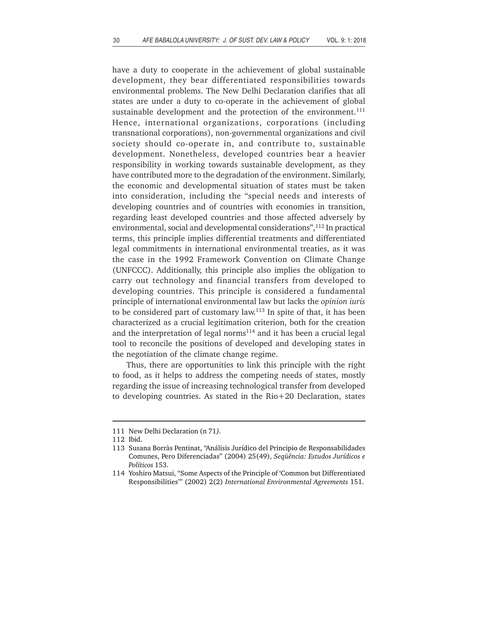have a duty to cooperate in the achievement of global sustainable development, they bear differentiated responsibilities towards environmental problems. The New Delhi Declaration clarifies that all states are under a duty to co-operate in the achievement of global sustainable development and the protection of the environment.<sup>111</sup> Hence, international organizations, corporations (including transnational corporations), non-governmental organizations and civil society should co-operate in, and contribute to, sustainable development. Nonetheless, developed countries bear a heavier responsibility in working towards sustainable development, as they have contributed more to the degradation of the environment. Similarly, the economic and developmental situation of states must be taken into consideration, including the "special needs and interests of developing countries and of countries with economies in transition, regarding least developed countries and those affected adversely by environmental, social and developmental considerations",<sup>112</sup> In practical terms, this principle implies differential treatments and differentiated legal commitments in international environmental treaties, as it was the case in the 1992 Framework Convention on Climate Change (UNFCCC). Additionally, this principle also implies the obligation to carry out technology and financial transfers from developed to developing countries. This principle is considered a fundamental principle of international environmental law but lacks the *opinion iuris* to be considered part of customary law.<sup>113</sup> In spite of that, it has been characterized as a crucial legitimation criterion, both for the creation and the interpretation of legal norms $114$  and it has been a crucial legal tool to reconcile the positions of developed and developing states in the negotiation of the climate change regime.

Thus, there are opportunities to link this principle with the right to food, as it helps to address the competing needs of states, mostly regarding the issue of increasing technological transfer from developed to developing countries. As stated in the Rio+20 Declaration, states

<sup>111</sup> New Delhi Declaration (n 71*).*

<sup>112</sup> Ibid.

<sup>113</sup> Susana Borràs Pentinat, "Análisis Jurídico del Principio de Responsabilidades Comunes, Pero Diferenciadas" (2004) 25(49), *Seqüência: Estudos Jurídicos e Políticos* 153.

<sup>114</sup> Yoshiro Matsui, "Some Aspects of the Principle of 'Common but Differentiated Responsibilities'" (2002) 2(2) *International Environmental Agreements* 151.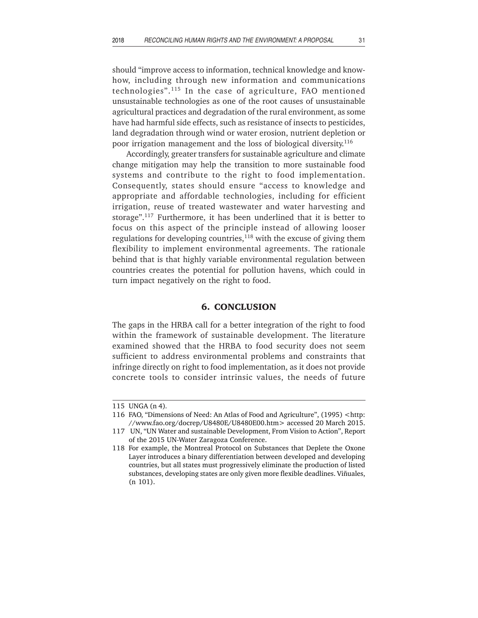should "improve access to information, technical knowledge and knowhow, including through new information and communications technologies".115 In the case of agriculture, FAO mentioned unsustainable technologies as one of the root causes of unsustainable agricultural practices and degradation of the rural environment, as some have had harmful side effects, such as resistance of insects to pesticides, land degradation through wind or water erosion, nutrient depletion or poor irrigation management and the loss of biological diversity.116

Accordingly, greater transfers for sustainable agriculture and climate change mitigation may help the transition to more sustainable food systems and contribute to the right to food implementation. Consequently, states should ensure "access to knowledge and appropriate and affordable technologies, including for efficient irrigation, reuse of treated wastewater and water harvesting and storage".117 Furthermore, it has been underlined that it is better to focus on this aspect of the principle instead of allowing looser regulations for developing countries, $118$  with the excuse of giving them flexibility to implement environmental agreements. The rationale behind that is that highly variable environmental regulation between countries creates the potential for pollution havens, which could in turn impact negatively on the right to food.

#### **6. CONCLUSION**

The gaps in the HRBA call for a better integration of the right to food within the framework of sustainable development. The literature examined showed that the HRBA to food security does not seem sufficient to address environmental problems and constraints that infringe directly on right to food implementation, as it does not provide concrete tools to consider intrinsic values, the needs of future

<sup>115</sup> UNGA (n 4)*.*

<sup>116</sup> FAO, "Dimensions of Need: An Atlas of Food and Agriculture", (1995) <http: //www.fao.org/docrep/U8480E/U8480E00.htm> accessed 20 March 2015.

<sup>117</sup> UN, "UN Water and sustainable Development, From Vision to Action", Report of the 2015 UN-Water Zaragoza Conference.

<sup>118</sup> For example, the Montreal Protocol on Substances that Deplete the Oxone Layer introduces a binary differentiation between developed and developing countries, but all states must progressively eliminate the production of listed substances, developing states are only given more flexible deadlines. Viñuales, (n 101).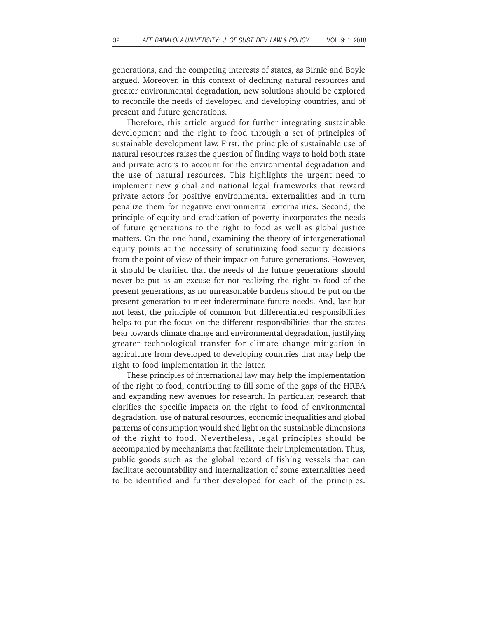generations, and the competing interests of states, as Birnie and Boyle argued. Moreover, in this context of declining natural resources and greater environmental degradation, new solutions should be explored to reconcile the needs of developed and developing countries, and of present and future generations.

Therefore, this article argued for further integrating sustainable development and the right to food through a set of principles of sustainable development law. First, the principle of sustainable use of natural resources raises the question of finding ways to hold both state and private actors to account for the environmental degradation and the use of natural resources. This highlights the urgent need to implement new global and national legal frameworks that reward private actors for positive environmental externalities and in turn penalize them for negative environmental externalities. Second, the principle of equity and eradication of poverty incorporates the needs of future generations to the right to food as well as global justice matters. On the one hand, examining the theory of intergenerational equity points at the necessity of scrutinizing food security decisions from the point of view of their impact on future generations. However, it should be clarified that the needs of the future generations should never be put as an excuse for not realizing the right to food of the present generations, as no unreasonable burdens should be put on the present generation to meet indeterminate future needs. And, last but not least, the principle of common but differentiated responsibilities helps to put the focus on the different responsibilities that the states bear towards climate change and environmental degradation, justifying greater technological transfer for climate change mitigation in agriculture from developed to developing countries that may help the right to food implementation in the latter.

These principles of international law may help the implementation of the right to food, contributing to fill some of the gaps of the HRBA and expanding new avenues for research. In particular, research that clarifies the specific impacts on the right to food of environmental degradation, use of natural resources, economic inequalities and global patterns of consumption would shed light on the sustainable dimensions of the right to food. Nevertheless, legal principles should be accompanied by mechanisms that facilitate their implementation. Thus, public goods such as the global record of fishing vessels that can facilitate accountability and internalization of some externalities need to be identified and further developed for each of the principles.